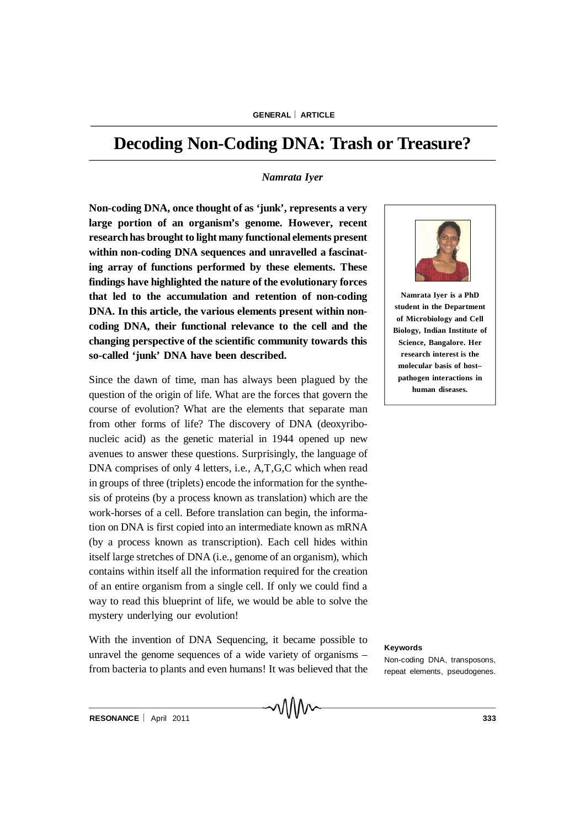# **Decoding Non-Coding DNA: Trash or Treasure?**

## *Namrata Iyer*

**Non-coding DNA, once thought of as 'junk', represents a very large portion of an organism's genome. However, recent research has brought to light many functional elements present within non-coding DNA sequences and unravelled a fascinating array of functions performed by these elements. These findings have highlighted the nature of the evolutionary forces that led to the accumulation and retention of non-coding DNA. In this article, the various elements present within noncoding DNA, their functional relevance to the cell and the changing perspective of the scientific community towards this so-called 'junk' DNA have been described.**

Since the dawn of time, man has always been plagued by the question of the origin of life. What are the forces that govern the course of evolution? What are the elements that separate man from other forms of life? The discovery of DNA (deoxyribonucleic acid) as the genetic material in 1944 opened up new avenues to answer these questions. Surprisingly, the language of DNA comprises of only 4 letters, i.e., A,T,G,C which when read in groups of three (triplets) encode the information for the synthesis of proteins (by a process known as translation) which are the work-horses of a cell. Before translation can begin, the information on DNA is first copied into an intermediate known as mRNA (by a process known as transcription). Each cell hides within itself large stretches of DNA (i.e., genome of an organism), which contains within itself all the information required for the creation of an entire organism from a single cell. If only we could find a way to read this blueprint of life, we would be able to solve the mystery underlying our evolution!

With the invention of DNA Sequencing, it became possible to unravel the genome sequences of a wide variety of organisms – from bacteria to plants and even humans! It was believed that the



**Namrata Iyer is a PhD student in the Department of Microbiology and Cell Biology, Indian Institute of Science, Bangalore. Her research interest is the molecular basis of host– pathogen interactions in human diseases.**

#### **Keywords**

Non-coding DNA, transposons, repeat elements, pseudogenes.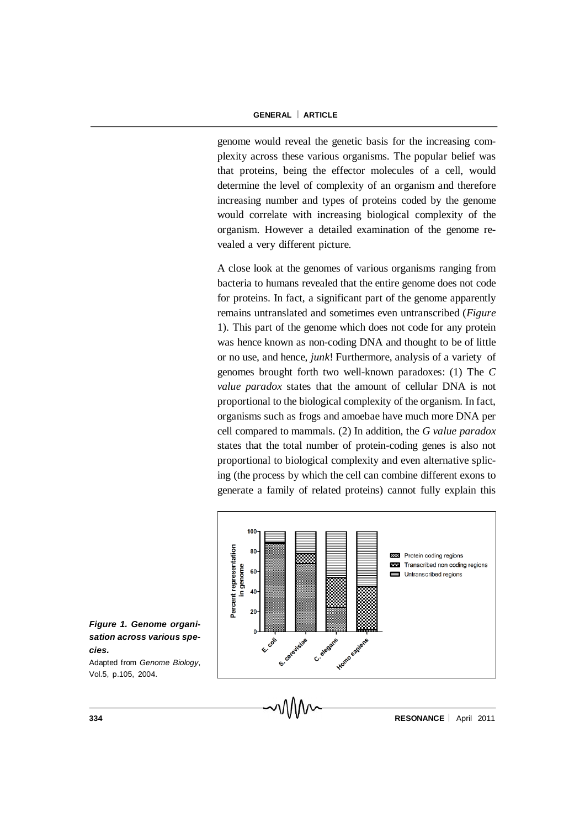genome would reveal the genetic basis for the increasing complexity across these various organisms. The popular belief was that proteins, being the effector molecules of a cell, would determine the level of complexity of an organism and therefore increasing number and types of proteins coded by the genome would correlate with increasing biological complexity of the organism. However a detailed examination of the genome revealed a very different picture.

A close look at the genomes of various organisms ranging from bacteria to humans revealed that the entire genome does not code for proteins. In fact, a significant part of the genome apparently remains untranslated and sometimes even untranscribed (*Figure* 1). This part of the genome which does not code for any protein was hence known as non-coding DNA and thought to be of little or no use, and hence, *junk*! Furthermore, analysis of a variety of genomes brought forth two well-known paradoxes: (1) The *C value paradox* states that the amount of cellular DNA is not proportional to the biological complexity of the organism. In fact, organisms such as frogs and amoebae have much more DNA per cell compared to mammals. (2) In addition, the *G value paradox* states that the total number of protein-coding genes is also not proportional to biological complexity and even alternative splicing (the process by which the cell can combine different exons to generate a family of related proteins) cannot fully explain this



*Figure 1. Genome organisation across various species.* Adapted from *Genome Biology*, Vol.5, p.105, 2004.

**334 RESONANCE** April 2011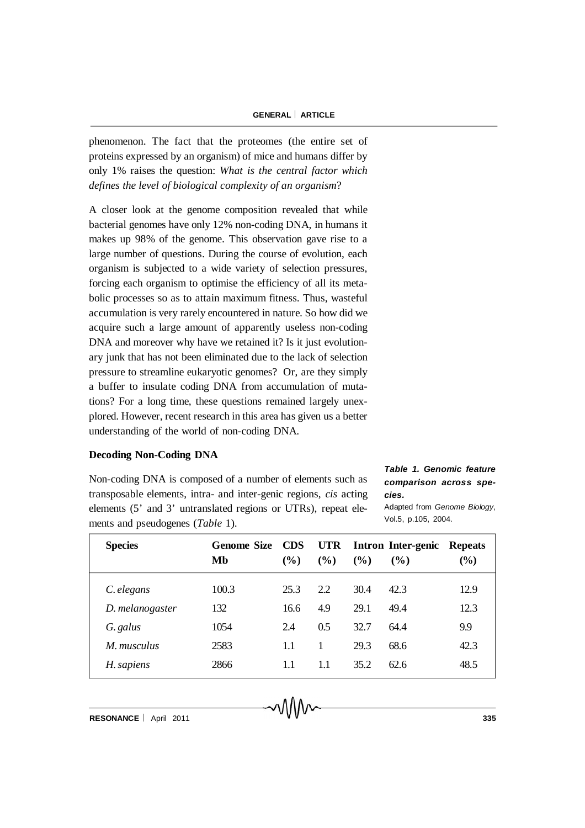phenomenon. The fact that the proteomes (the entire set of proteins expressed by an organism) of mice and humans differ by only 1% raises the question: *What is the central factor which defines the level of biological complexity of an organism*?

A closer look at the genome composition revealed that while bacterial genomes have only 12% non-coding DNA, in humans it makes up 98% of the genome. This observation gave rise to a large number of questions. During the course of evolution, each organism is subjected to a wide variety of selection pressures, forcing each organism to optimise the efficiency of all its metabolic processes so as to attain maximum fitness. Thus, wasteful accumulation is very rarely encountered in nature. So how did we acquire such a large amount of apparently useless non-coding DNA and moreover why have we retained it? Is it just evolutionary junk that has not been eliminated due to the lack of selection pressure to streamline eukaryotic genomes? Or, are they simply a buffer to insulate coding DNA from accumulation of mutations? For a long time, these questions remained largely unexplored. However, recent research in this area has given us a better understanding of the world of non-coding DNA.

#### **Decoding Non-Coding DNA**

Non-coding DNA is composed of a number of elements such as transposable elements, intra- and inter-genic regions, *cis* acting elements (5' and 3' untranslated regions or UTRs), repeat elements and pseudogenes (*Table* 1).

*Table 1. Genomic feature comparison across species.*

Adapted from *Genome Biology*, Vol.5, p.105, 2004.

| <b>Species</b>  | <b>Genome Size</b><br>Mb | <b>CDS</b><br>(%) | <b>UTR</b><br>$($ %) | $($ %) | Intron Inter-genic<br>$($ %) | <b>Repeats</b><br>$(\%)$ |
|-----------------|--------------------------|-------------------|----------------------|--------|------------------------------|--------------------------|
| C. elegans      | 100.3                    | 25.3              | 2.2                  | 30.4   | 42.3                         | 12.9                     |
| D. melanogaster | 132                      | 16.6              | 4.9                  | 29.1   | 49.4                         | 12.3                     |
| G. galus        | 1054                     | 2.4               | 0.5                  | 32.7   | 64.4                         | 9.9                      |
| M. musculus     | 2583                     | 1.1               | 1                    | 29.3   | 68.6                         | 42.3                     |
| H. sapiens      | 2866                     | 1.1               | 1.1                  | 35.2   | 62.6                         | 48.5                     |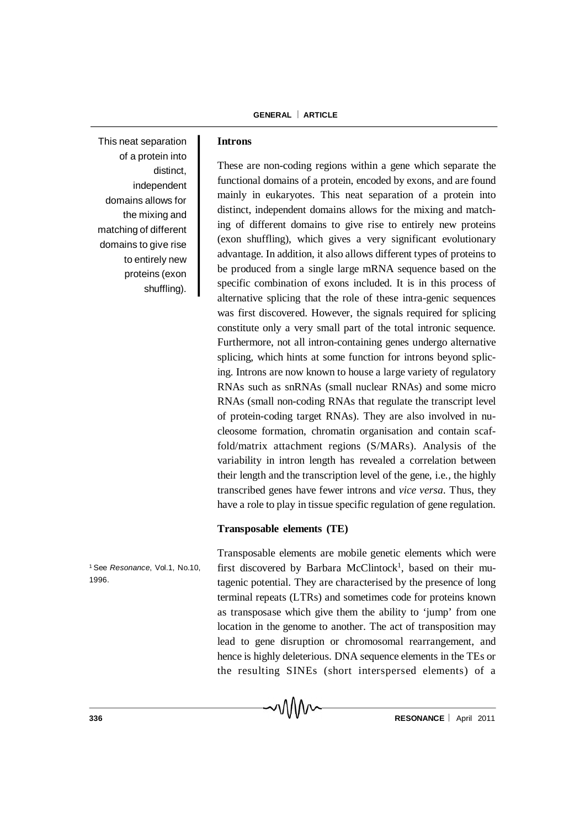This neat separation of a protein into distinct, independent domains allows for the mixing and matching of different domains to give rise to entirely new proteins (exon shuffling).

<sup>1</sup> See *Resonance*, Vol.1, No.10, 1996.

**Introns**

These are non-coding regions within a gene which separate the functional domains of a protein, encoded by exons, and are found mainly in eukaryotes. This neat separation of a protein into distinct, independent domains allows for the mixing and matching of different domains to give rise to entirely new proteins (exon shuffling), which gives a very significant evolutionary advantage. In addition, it also allows different types of proteins to be produced from a single large mRNA sequence based on the specific combination of exons included. It is in this process of alternative splicing that the role of these intra-genic sequences was first discovered. However, the signals required for splicing constitute only a very small part of the total intronic sequence. Furthermore, not all intron-containing genes undergo alternative splicing, which hints at some function for introns beyond splicing. Introns are now known to house a large variety of regulatory RNAs such as snRNAs (small nuclear RNAs) and some micro RNAs (small non-coding RNAs that regulate the transcript level of protein-coding target RNAs). They are also involved in nucleosome formation, chromatin organisation and contain scaffold/matrix attachment regions (S/MARs). Analysis of the variability in intron length has revealed a correlation between their length and the transcription level of the gene, i.e*.,* the highly transcribed genes have fewer introns and *vice versa*. Thus, they have a role to play in tissue specific regulation of gene regulation.

## **Transposable elements (TE)**

Transposable elements are mobile genetic elements which were first discovered by Barbara McClintock<sup>1</sup>, based on their mutagenic potential. They are characterised by the presence of long terminal repeats (LTRs) and sometimes code for proteins known as transposase which give them the ability to 'jump' from one location in the genome to another. The act of transposition may lead to gene disruption or chromosomal rearrangement, and hence is highly deleterious. DNA sequence elements in the TEs or the resulting SINEs (short interspersed elements) of a

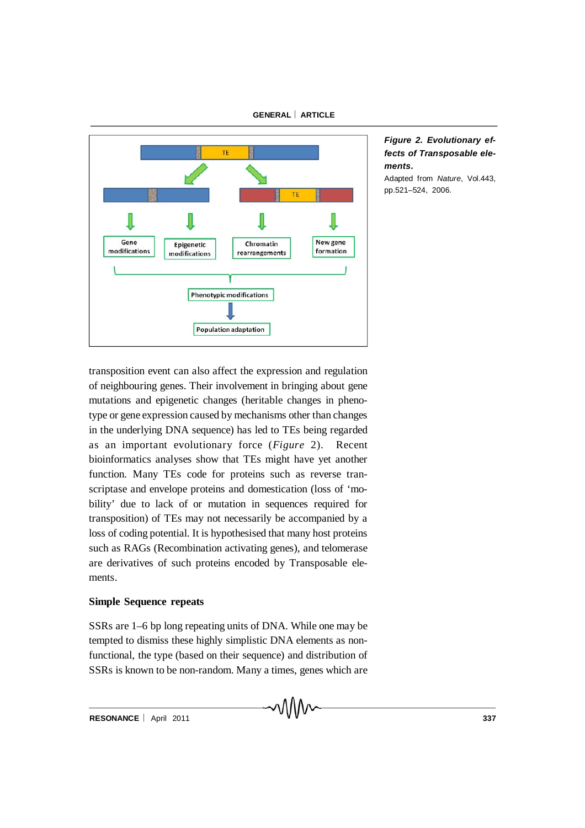

## *Figure 2. Evolutionary effects of Transposable elements.*

Adapted from *Nature*, Vol.443, pp.521–524, 2006.

transposition event can also affect the expression and regulation of neighbouring genes. Their involvement in bringing about gene mutations and epigenetic changes (heritable changes in phenotype or gene expression caused by mechanisms other than changes in the underlying DNA sequence) has led to TEs being regarded as an important evolutionary force (*Figure* 2). Recent bioinformatics analyses show that TEs might have yet another function. Many TEs code for proteins such as reverse transcriptase and envelope proteins and domestication (loss of 'mobility' due to lack of or mutation in sequences required for transposition) of TEs may not necessarily be accompanied by a loss of coding potential. It is hypothesised that many host proteins such as RAGs (Recombination activating genes), and telomerase are derivatives of such proteins encoded by Transposable elements.

## **Simple Sequence repeats**

SSRs are 1–6 bp long repeating units of DNA. While one may be tempted to dismiss these highly simplistic DNA elements as nonfunctional, the type (based on their sequence) and distribution of SSRs is known to be non-random. Many a times, genes which are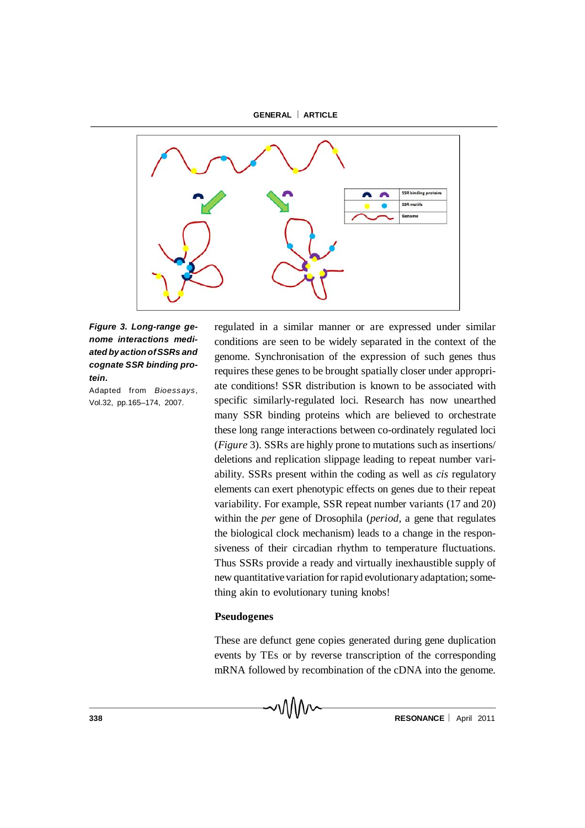**GENERAL ARTICLE**



*Figure 3. Long-range genome interactions mediated by action ofSSRs and cognate SSR binding protein.*

Adapted from *Bioessays*, Vol.32, pp.165–174, 2007.

regulated in a similar manner or are expressed under similar conditions are seen to be widely separated in the context of the genome. Synchronisation of the expression of such genes thus requires these genes to be brought spatially closer under appropriate conditions! SSR distribution is known to be associated with specific similarly-regulated loci. Research has now unearthed many SSR binding proteins which are believed to orchestrate these long range interactions between co-ordinately regulated loci (*Figure* 3). SSRs are highly prone to mutations such as insertions/ deletions and replication slippage leading to repeat number variability. SSRs present within the coding as well as *cis* regulatory elements can exert phenotypic effects on genes due to their repeat variability. For example, SSR repeat number variants (17 and 20) within the *per* gene of Drosophila (*period*, a gene that regulates the biological clock mechanism) leads to a change in the responsiveness of their circadian rhythm to temperature fluctuations. Thus SSRs provide a ready and virtually inexhaustible supply of new quantitative variation for rapid evolutionary adaptation; something akin to evolutionary tuning knobs!

#### **Pseudogenes**

These are defunct gene copies generated during gene duplication events by TEs or by reverse transcription of the corresponding mRNA followed by recombination of the cDNA into the genome.

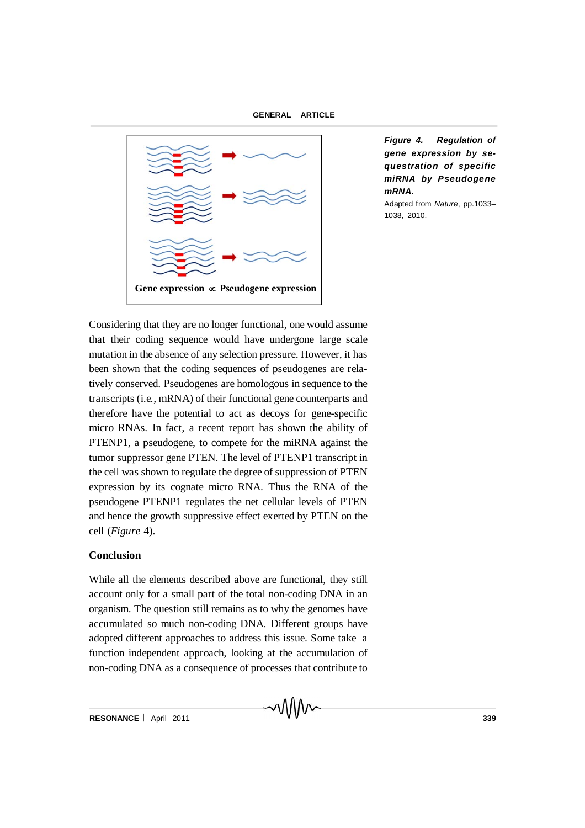

*Figure 4. Regulation of gene expression by sequestration of specific miRNA by Pseudogene mRNA.*

Adapted from *Nature*, pp.1033– 1038, 2010.

Considering that they are no longer functional, one would assume that their coding sequence would have undergone large scale mutation in the absence of any selection pressure. However, it has been shown that the coding sequences of pseudogenes are relatively conserved. Pseudogenes are homologous in sequence to the transcripts (i.e*.,* mRNA) of their functional gene counterparts and therefore have the potential to act as decoys for gene-specific micro RNAs. In fact, a recent report has shown the ability of PTENP1, a pseudogene, to compete for the miRNA against the tumor suppressor gene PTEN. The level of PTENP1 transcript in the cell was shown to regulate the degree of suppression of PTEN expression by its cognate micro RNA. Thus the RNA of the pseudogene PTENP1 regulates the net cellular levels of PTEN and hence the growth suppressive effect exerted by PTEN on the cell (*Figure* 4).

## **Conclusion**

While all the elements described above are functional, they still account only for a small part of the total non-coding DNA in an organism. The question still remains as to why the genomes have accumulated so much non-coding DNA. Different groups have adopted different approaches to address this issue. Some take a function independent approach, looking at the accumulation of non-coding DNA as a consequence of processes that contribute to